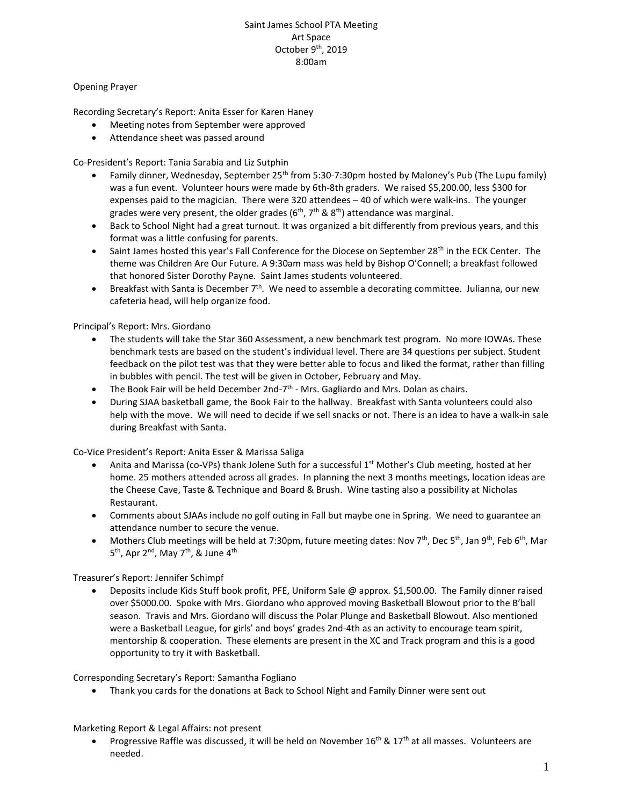# Saint James School PTA Meeting Art Space October 9<sup>th</sup>, 2019 8:00am

# Opening Prayer

Recording Secretary's Report: Anita Esser for Karen Haney

- Meeting notes from September were approved
- Attendance sheet was passed around

Co-President's Report: Tania Sarabia and Liz Sutphin

- Family dinner, Wednesday, September 25th from 5:30-7:30pm hosted by Maloney's Pub (The Lupu family) was a fun event. Volunteer hours were made by 6th-8th graders. We raised \$5,200.00, less \$300 for expenses paid to the magician. There were 320 attendees – 40 of which were walk-ins. The younger grades were very present, the older grades ( $6<sup>th</sup>$ ,  $7<sup>th</sup>$  &  $8<sup>th</sup>$ ) attendance was marginal.
- Back to School Night had a great turnout. It was organized a bit differently from previous years, and this format was a little confusing for parents.
- Saint James hosted this year's Fall Conference for the Diocese on September 28<sup>th</sup> in the ECK Center. The theme was Children Are Our Future. A 9:30am mass was held by Bishop O'Connell; a breakfast followed that honored Sister Dorothy Payne. Saint James students volunteered.
- Breakfast with Santa is December  $7<sup>th</sup>$ . We need to assemble a decorating committee. Julianna, our new cafeteria head, will help organize food.

Principal's Report: Mrs. Giordano

- The students will take the Star 360 Assessment, a new benchmark test program. No more IOWAs. These benchmark tests are based on the student's individual level. There are 34 questions per subject. Student feedback on the pilot test was that they were better able to focus and liked the format, rather than filling in bubbles with pencil. The test will be given in October, February and May.
- $\bullet$  The Book Fair will be held December 2nd-7<sup>th</sup> Mrs. Gagliardo and Mrs. Dolan as chairs.
- During SJAA basketball game, the Book Fair to the hallway. Breakfast with Santa volunteers could also help with the move. We will need to decide if we sell snacks or not. There is an idea to have a walk-in sale during Breakfast with Santa.

Co-Vice President's Report: Anita Esser & Marissa Saliga

- Anita and Marissa (co-VPs) thank Jolene Suth for a successful 1<sup>st</sup> Mother's Club meeting, hosted at her home. 25 mothers attended across all grades. In planning the next 3 months meetings, location ideas are the Cheese Cave, Taste & Technique and Board & Brush. Wine tasting also a possibility at Nicholas Restaurant.
- Comments about SJAAs include no golf outing in Fall but maybe one in Spring. We need to guarantee an attendance number to secure the venue.
- Mothers Club meetings will be held at 7:30pm, future meeting dates: Nov 7<sup>th</sup>, Dec 5<sup>th</sup>, Jan 9<sup>th</sup>, Feb 6<sup>th</sup>, Mar 5<sup>th</sup>, Apr 2<sup>nd</sup>, May 7<sup>th</sup>, & June 4<sup>th</sup>

Treasurer's Report: Jennifer Schimpf

• Deposits include Kids Stuff book profit, PFE, Uniform Sale @ approx. \$1,500.00. The Family dinner raised over \$5000.00. Spoke with Mrs. Giordano who approved moving Basketball Blowout prior to the B'ball season. Travis and Mrs. Giordano will discuss the Polar Plunge and Basketball Blowout. Also mentioned were a Basketball League, for girls' and boys' grades 2nd-4th as an activity to encourage team spirit, mentorship & cooperation. These elements are present in the XC and Track program and this is a good opportunity to try it with Basketball.

Corresponding Secretary's Report: Samantha Fogliano

• Thank you cards for the donations at Back to School Night and Family Dinner were sent out

Marketing Report & Legal Affairs: not present

Progressive Raffle was discussed, it will be held on November  $16<sup>th</sup>$  &  $17<sup>th</sup>$  at all masses. Volunteers are needed.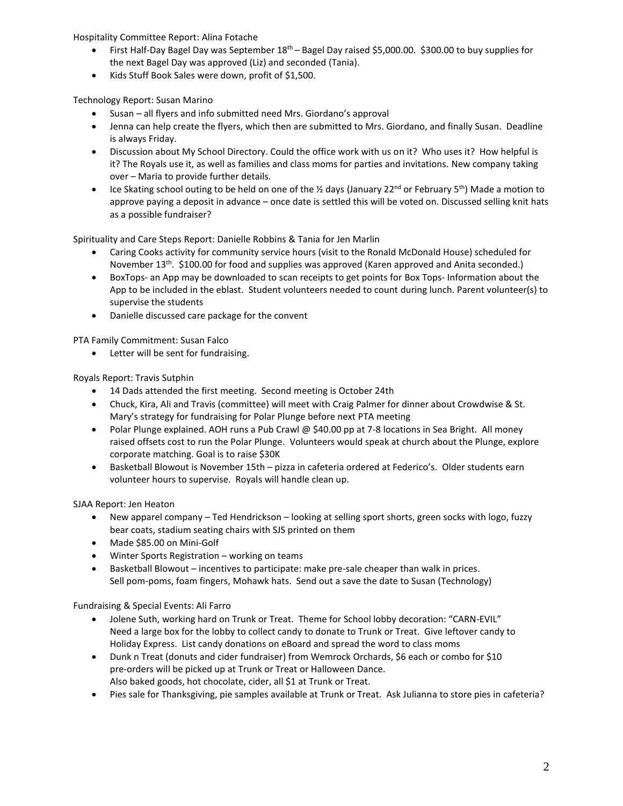Hospitality Committee Report: Alina Fotache

- First Half-Day Bagel Day was September 18<sup>th</sup> Bagel Day raised \$5,000.00. \$300.00 to buy supplies for the next Bagel Day was approved (Liz) and seconded (Tania).
- Kids Stuff Book Sales were down, profit of \$1,500.

Technology Report: Susan Marino

- Susan all flyers and info submitted need Mrs. Giordano's approval
- Jenna can help create the flyers, which then are submitted to Mrs. Giordano, and finally Susan. Deadline is always Friday.
- Discussion about My School Directory. Could the office work with us on it? Who uses it? How helpful is it? The Royals use it, as well as families and class moms for parties and invitations. New company taking over – Maria to provide further details.
- Ice Skating school outing to be held on one of the  $\frac{1}{2}$  days (January 22<sup>nd</sup> or February 5<sup>th</sup>) Made a motion to approve paying a deposit in advance – once date is settled this will be voted on. Discussed selling knit hats as a possible fundraiser?

Spirituality and Care Steps Report: Danielle Robbins & Tania for Jen Marlin

- Caring Cooks activity for community service hours (visit to the Ronald McDonald House) scheduled for November 13<sup>th</sup>. \$100.00 for food and supplies was approved (Karen approved and Anita seconded.)
- BoxTops- an App may be downloaded to scan receipts to get points for Box Tops- Information about the App to be included in the eblast. Student volunteers needed to count during lunch. Parent volunteer(s) to supervise the students
- Danielle discussed care package for the convent

PTA Family Commitment: Susan Falco

• Letter will be sent for fundraising.

Royals Report: Travis Sutphin

- 14 Dads attended the first meeting. Second meeting is October 24th
- Chuck, Kira, Ali and Travis (committee) will meet with Craig Palmer for dinner about Crowdwise & St. Mary's strategy for fundraising for Polar Plunge before next PTA meeting
- Polar Plunge explained. AOH runs a Pub Crawl @ \$40.00 pp at 7-8 locations in Sea Bright. All money raised offsets cost to run the Polar Plunge. Volunteers would speak at church about the Plunge, explore corporate matching. Goal is to raise \$30K
- Basketball Blowout is November 15th pizza in cafeteria ordered at Federico's. Older students earn volunteer hours to supervise. Royals will handle clean up.

SJAA Report: Jen Heaton

- New apparel company Ted Hendrickson looking at selling sport shorts, green socks with logo, fuzzy bear coats, stadium seating chairs with SJS printed on them
- Made \$85.00 on Mini-Golf
- Winter Sports Registration working on teams
- Basketball Blowout incentives to participate: make pre-sale cheaper than walk in prices. Sell pom-poms, foam fingers, Mohawk hats. Send out a save the date to Susan (Technology)

Fundraising & Special Events: Ali Farro

- Jolene Suth, working hard on Trunk or Treat. Theme for School lobby decoration: "CARN-EVIL" Need a large box for the lobby to collect candy to donate to Trunk or Treat. Give leftover candy to Holiday Express. List candy donations on eBoard and spread the word to class moms
- Dunk n Treat (donuts and cider fundraiser) from Wemrock Orchards, \$6 each or combo for \$10 pre-orders will be picked up at Trunk or Treat or Halloween Dance. Also baked goods, hot chocolate, cider, all \$1 at Trunk or Treat.
- Pies sale for Thanksgiving, pie samples available at Trunk or Treat. Ask Julianna to store pies in cafeteria?